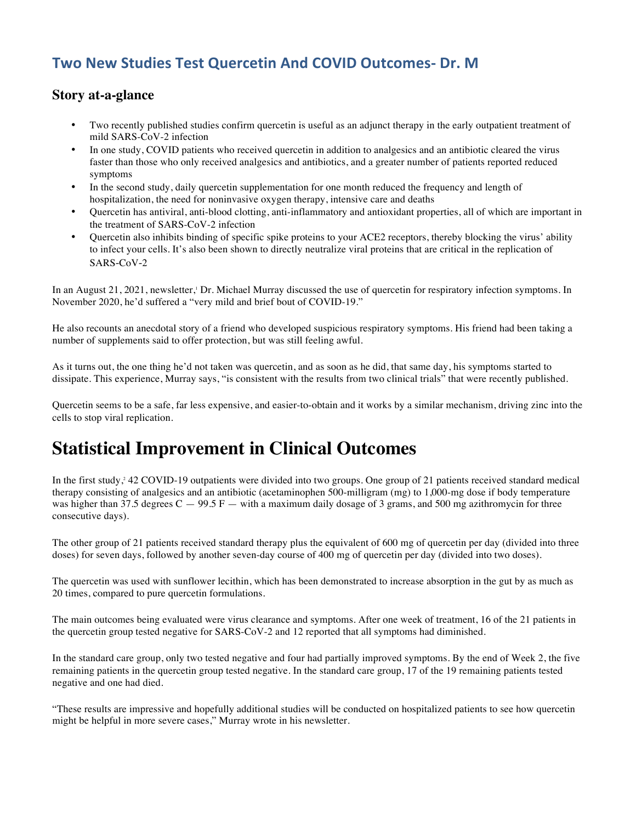#### **Two New Studies Test Quercetin And COVID Outcomes- Dr. M**

#### **Story at-a-glance**

- Two recently published studies confirm quercetin is useful as an adjunct therapy in the early outpatient treatment of mild SARS-CoV-2 infection
- In one study, COVID patients who received quercetin in addition to analgesics and an antibiotic cleared the virus faster than those who only received analgesics and antibiotics, and a greater number of patients reported reduced symptoms
- In the second study, daily quercetin supplementation for one month reduced the frequency and length of hospitalization, the need for noninvasive oxygen therapy, intensive care and deaths
- Quercetin has antiviral, anti-blood clotting, anti-inflammatory and antioxidant properties, all of which are important in the treatment of SARS-CoV-2 infection
- Quercetin also inhibits binding of specific spike proteins to your ACE2 receptors, thereby blocking the virus' ability to infect your cells. It's also been shown to directly neutralize viral proteins that are critical in the replication of SARS-CoV-2

In an August 21, 2021, newsletter,<sup>1</sup> Dr. Michael Murray discussed the use of quercetin for respiratory infection symptoms. In November 2020, he'd suffered a "very mild and brief bout of COVID-19."

He also recounts an anecdotal story of a friend who developed suspicious respiratory symptoms. His friend had been taking a number of supplements said to offer protection, but was still feeling awful.

As it turns out, the one thing he'd not taken was quercetin, and as soon as he did, that same day, his symptoms started to dissipate. This experience, Murray says, "is consistent with the results from two clinical trials" that were recently published.

Quercetin seems to be a safe, far less expensive, and easier-to-obtain and it works by a similar mechanism, driving zinc into the cells to stop viral replication.

#### **Statistical Improvement in Clinical Outcomes**

In the first study,<sup>2</sup> 42 COVID-19 outpatients were divided into two groups. One group of 21 patients received standard medical therapy consisting of analgesics and an antibiotic (acetaminophen 500-milligram (mg) to 1,000-mg dose if body temperature was higher than 37.5 degrees  $C - 99.5 F -$  with a maximum daily dosage of 3 grams, and 500 mg azithromycin for three consecutive days).

The other group of 21 patients received standard therapy plus the equivalent of 600 mg of quercetin per day (divided into three doses) for seven days, followed by another seven-day course of 400 mg of quercetin per day (divided into two doses).

The quercetin was used with sunflower lecithin, which has been demonstrated to increase absorption in the gut by as much as 20 times, compared to pure quercetin formulations.

The main outcomes being evaluated were virus clearance and symptoms. After one week of treatment, 16 of the 21 patients in the quercetin group tested negative for SARS-CoV-2 and 12 reported that all symptoms had diminished.

In the standard care group, only two tested negative and four had partially improved symptoms. By the end of Week 2, the five remaining patients in the quercetin group tested negative. In the standard care group, 17 of the 19 remaining patients tested negative and one had died.

"These results are impressive and hopefully additional studies will be conducted on hospitalized patients to see how quercetin might be helpful in more severe cases," Murray wrote in his newsletter.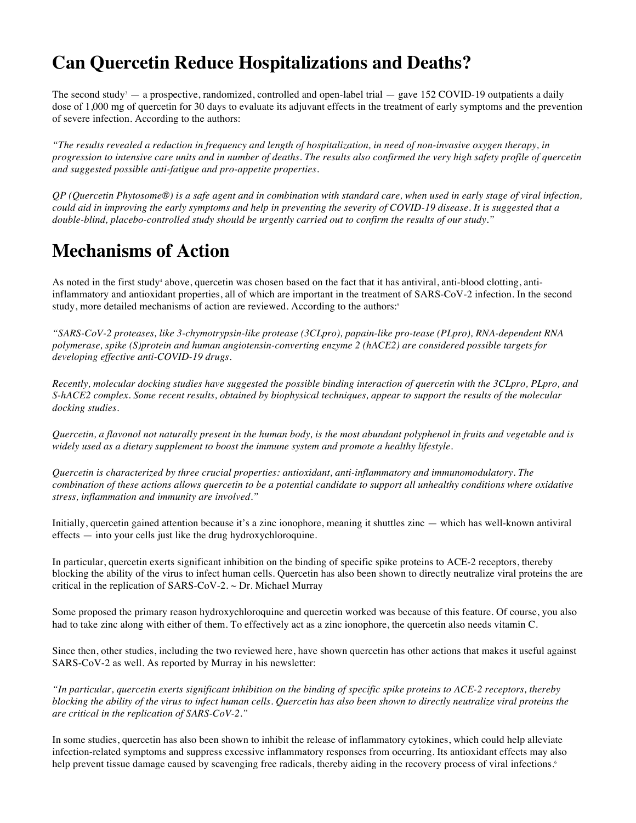#### **Can Quercetin Reduce Hospitalizations and Deaths?**

The second study<sup>3</sup> — a prospective, randomized, controlled and open-label trial — gave 152 COVID-19 outpatients a daily dose of 1,000 mg of quercetin for 30 days to evaluate its adjuvant effects in the treatment of early symptoms and the prevention of severe infection. According to the authors:

*"The results revealed a reduction in frequency and length of hospitalization, in need of non-invasive oxygen therapy, in progression to intensive care units and in number of deaths. The results also confirmed the very high safety profile of quercetin and suggested possible anti-fatigue and pro-appetite properties.*

*QP (Quercetin Phytosome®) is a safe agent and in combination with standard care, when used in early stage of viral infection, could aid in improving the early symptoms and help in preventing the severity of COVID-19 disease. It is suggested that a double-blind, placebo-controlled study should be urgently carried out to confirm the results of our study."*

#### **Mechanisms of Action**

As noted in the first study<sup>4</sup> above, quercetin was chosen based on the fact that it has antiviral, anti-blood clotting, antiinflammatory and antioxidant properties, all of which are important in the treatment of SARS-CoV-2 infection. In the second study, more detailed mechanisms of action are reviewed. According to the authors:<sup>5</sup>

*"SARS-CoV-2 proteases, like 3-chymotrypsin-like protease (3CLpro), papain-like pro-tease (PLpro), RNA-dependent RNA polymerase, spike (S)protein and human angiotensin-converting enzyme 2 (hACE2) are considered possible targets for developing effective anti-COVID-19 drugs.*

*Recently, molecular docking studies have suggested the possible binding interaction of quercetin with the 3CLpro, PLpro, and S-hACE2 complex. Some recent results, obtained by biophysical techniques, appear to support the results of the molecular docking studies.*

*Quercetin, a flavonol not naturally present in the human body, is the most abundant polyphenol in fruits and vegetable and is widely used as a dietary supplement to boost the immune system and promote a healthy lifestyle.*

*Quercetin is characterized by three crucial properties: antioxidant, anti-inflammatory and immunomodulatory. The combination of these actions allows quercetin to be a potential candidate to support all unhealthy conditions where oxidative stress, inflammation and immunity are involved."*

Initially, quercetin gained attention because it's a zinc ionophore, meaning it shuttles zinc — which has well-known antiviral effects — into your cells just like the drug hydroxychloroquine.

In particular, quercetin exerts significant inhibition on the binding of specific spike proteins to ACE-2 receptors, thereby blocking the ability of the virus to infect human cells. Quercetin has also been shown to directly neutralize viral proteins the are critical in the replication of SARS-CoV-2.  $\sim$  Dr. Michael Murray

Some proposed the primary reason hydroxychloroquine and quercetin worked was because of this feature. Of course, you also had to take zinc along with either of them. To effectively act as a zinc ionophore, the quercetin also needs vitamin C.

Since then, other studies, including the two reviewed here, have shown quercetin has other actions that makes it useful against SARS-CoV-2 as well. As reported by Murray in his newsletter:

*"In particular, quercetin exerts significant inhibition on the binding of specific spike proteins to ACE-2 receptors, thereby blocking the ability of the virus to infect human cells. Quercetin has also been shown to directly neutralize viral proteins the are critical in the replication of SARS-CoV-2."*

In some studies, quercetin has also been shown to inhibit the release of inflammatory cytokines, which could help alleviate infection-related symptoms and suppress excessive inflammatory responses from occurring. Its antioxidant effects may also help prevent tissue damage caused by scavenging free radicals, thereby aiding in the recovery process of viral infections.<sup>6</sup>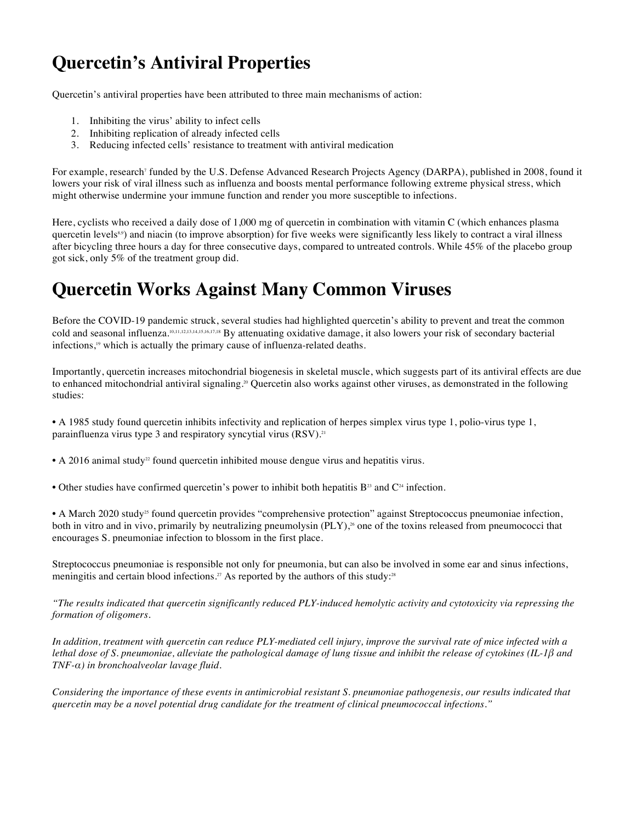## **Quercetin's Antiviral Properties**

Quercetin's antiviral properties have been attributed to three main mechanisms of action:

- 1. Inhibiting the virus' ability to infect cells
- 2. Inhibiting replication of already infected cells
- 3. Reducing infected cells' resistance to treatment with antiviral medication

For example, research<sup>7</sup> funded by the U.S. Defense Advanced Research Projects Agency (DARPA), published in 2008, found it lowers your risk of viral illness such as influenza and boosts mental performance following extreme physical stress, which might otherwise undermine your immune function and render you more susceptible to infections.

Here, cyclists who received a daily dose of 1,000 mg of quercetin in combination with vitamin C (which enhances plasma quercetin levels<sup>8,9</sup>) and niacin (to improve absorption) for five weeks were significantly less likely to contract a viral illness after bicycling three hours a day for three consecutive days, compared to untreated controls. While 45% of the placebo group got sick, only 5% of the treatment group did.

#### **Quercetin Works Against Many Common Viruses**

Before the COVID-19 pandemic struck, several studies had highlighted quercetin's ability to prevent and treat the common cold and seasonal influenza.10,11,12,13,14,15,16,17,18 By attenuating oxidative damage, it also lowers your risk of secondary bacterial infections,19 which is actually the primary cause of influenza-related deaths.

Importantly, quercetin increases mitochondrial biogenesis in skeletal muscle, which suggests part of its antiviral effects are due to enhanced mitochondrial antiviral signaling.<sup>20</sup> Quercetin also works against other viruses, as demonstrated in the following studies:

• A 1985 study found quercetin inhibits infectivity and replication of herpes simplex virus type 1, polio-virus type 1, parainfluenza virus type 3 and respiratory syncytial virus (RSV).<sup>21</sup>

• A 2016 animal study<sup>22</sup> found quercetin inhibited mouse dengue virus and hepatitis virus.

• Other studies have confirmed quercetin's power to inhibit both hepatitis  $B^{23}$  and  $C^{24}$  infection.

• A March 2020 study<sup>25</sup> found quercetin provides "comprehensive protection" against Streptococcus pneumoniae infection, both in vitro and in vivo, primarily by neutralizing pneumolysin (PLY),<sup>26</sup> one of the toxins released from pneumococci that encourages S. pneumoniae infection to blossom in the first place.

Streptococcus pneumoniae is responsible not only for pneumonia, but can also be involved in some ear and sinus infections, meningitis and certain blood infections.<sup>27</sup> As reported by the authors of this study:<sup>28</sup>

*"The results indicated that quercetin significantly reduced PLY-induced hemolytic activity and cytotoxicity via repressing the formation of oligomers.*

*In addition, treatment with quercetin can reduce PLY-mediated cell injury, improve the survival rate of mice infected with a lethal dose of S. pneumoniae, alleviate the pathological damage of lung tissue and inhibit the release of cytokines (IL-1β and TNF-α) in bronchoalveolar lavage fluid.*

*Considering the importance of these events in antimicrobial resistant S. pneumoniae pathogenesis, our results indicated that quercetin may be a novel potential drug candidate for the treatment of clinical pneumococcal infections."*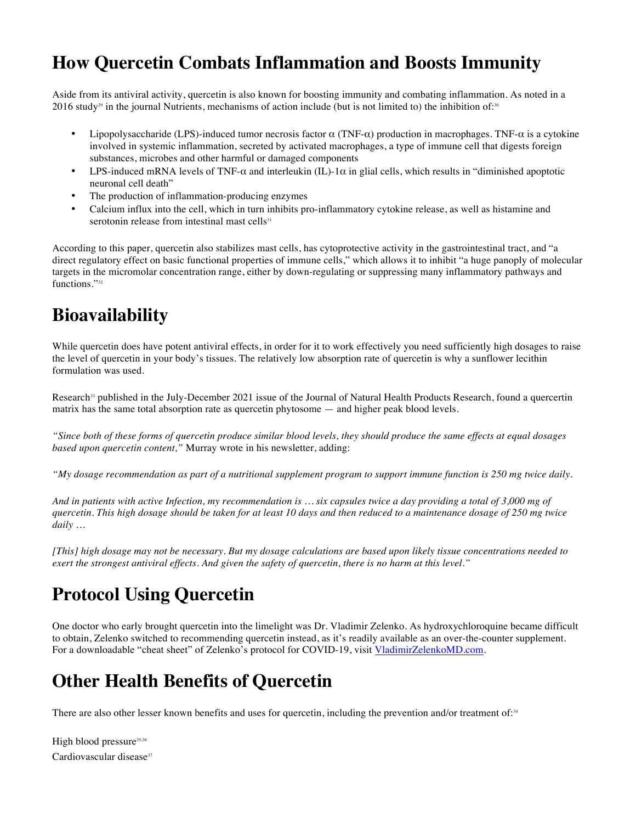#### **How Quercetin Combats Inflammation and Boosts Immunity**

Aside from its antiviral activity, quercetin is also known for boosting immunity and combating inflammation. As noted in a 2016 study<sup>29</sup> in the journal Nutrients, mechanisms of action include (but is not limited to) the inhibition of:<sup>30</sup>

- Lipopolysaccharide (LPS)-induced tumor necrosis factor  $\alpha$  (TNF- $\alpha$ ) production in macrophages. TNF- $\alpha$  is a cytokine involved in systemic inflammation, secreted by activated macrophages, a type of immune cell that digests foreign substances, microbes and other harmful or damaged components
- LPS-induced mRNA levels of TNF- $\alpha$  and interleukin (IL)-1 $\alpha$  in glial cells, which results in "diminished apoptotic neuronal cell death"
- The production of inflammation-producing enzymes
- Calcium influx into the cell, which in turn inhibits pro-inflammatory cytokine release, as well as histamine and serotonin release from intestinal mast cells $31$

According to this paper, quercetin also stabilizes mast cells, has cytoprotective activity in the gastrointestinal tract, and "a direct regulatory effect on basic functional properties of immune cells," which allows it to inhibit "a huge panoply of molecular targets in the micromolar concentration range, either by down-regulating or suppressing many inflammatory pathways and functions."32

#### **Bioavailability**

While quercetin does have potent antiviral effects, in order for it to work effectively you need sufficiently high dosages to raise the level of quercetin in your body's tissues. The relatively low absorption rate of quercetin is why a sunflower lecithin formulation was used.

Research<sup>33</sup> published in the July-December 2021 issue of the Journal of Natural Health Products Research, found a quercertin matrix has the same total absorption rate as quercetin phytosome — and higher peak blood levels.

*"Since both of these forms of quercetin produce similar blood levels, they should produce the same effects at equal dosages based upon quercetin content,"* Murray wrote in his newsletter, adding:

*"My dosage recommendation as part of a nutritional supplement program to support immune function is 250 mg twice daily.*

*And in patients with active Infection, my recommendation is … six capsules twice a day providing a total of 3,000 mg of quercetin. This high dosage should be taken for at least 10 days and then reduced to a maintenance dosage of 250 mg twice daily …*

*[This] high dosage may not be necessary. But my dosage calculations are based upon likely tissue concentrations needed to exert the strongest antiviral effects. And given the safety of quercetin, there is no harm at this level."*

## **Protocol Using Quercetin**

One doctor who early brought quercetin into the limelight was Dr. Vladimir Zelenko. As hydroxychloroquine became difficult to obtain, Zelenko switched to recommending quercetin instead, as it's readily available as an over-the-counter supplement. For a downloadable "cheat sheet" of Zelenko's protocol for COVID-19, visit VladimirZelenkoMD.com.

## **Other Health Benefits of Quercetin**

There are also other lesser known benefits and uses for quercetin, including the prevention and/or treatment of: $34$ 

High blood pressure<sup>35,36</sup> Cardiovascular disease $37$